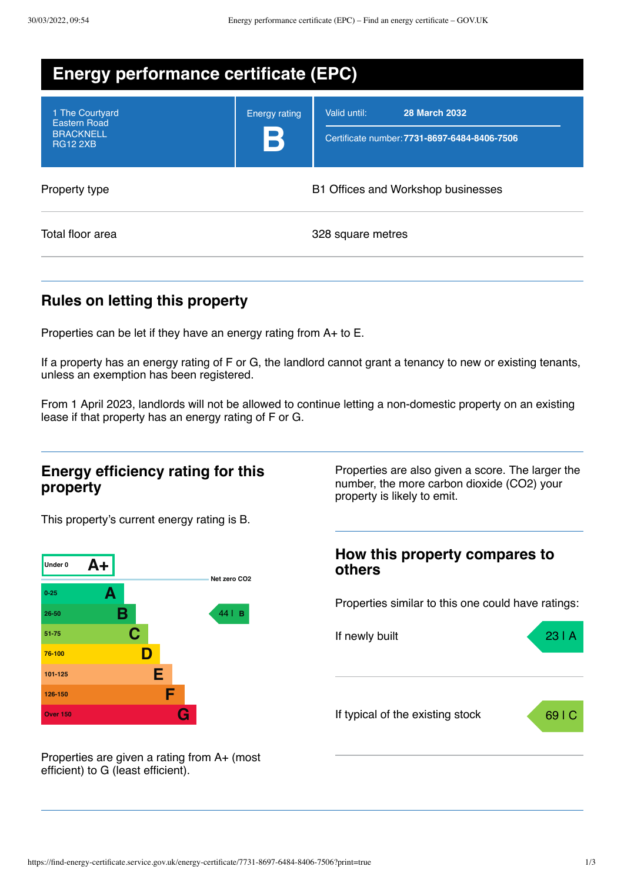| <b>Energy performance certificate (EPC)</b>                                   |                           |                                                                                      |  |
|-------------------------------------------------------------------------------|---------------------------|--------------------------------------------------------------------------------------|--|
| 1 The Courtyard<br><b>Eastern Road</b><br><b>BRACKNELL</b><br><b>RG12 2XB</b> | <b>Energy rating</b><br>B | Valid until:<br><b>28 March 2032</b><br>Certificate number: 7731-8697-6484-8406-7506 |  |
| Property type                                                                 |                           | B1 Offices and Workshop businesses                                                   |  |
| Total floor area                                                              |                           | 328 square metres                                                                    |  |

## **Rules on letting this property**

Properties can be let if they have an energy rating from A+ to E.

If a property has an energy rating of F or G, the landlord cannot grant a tenancy to new or existing tenants, unless an exemption has been registered.

From 1 April 2023, landlords will not be allowed to continue letting a non-domestic property on an existing lease if that property has an energy rating of F or G.

### **Energy efficiency rating for this property**

This property's current energy rating is B.



Properties are given a rating from A+ (most efficient) to G (least efficient).

Properties are also given a score. The larger the number, the more carbon dioxide (CO2) your property is likely to emit.

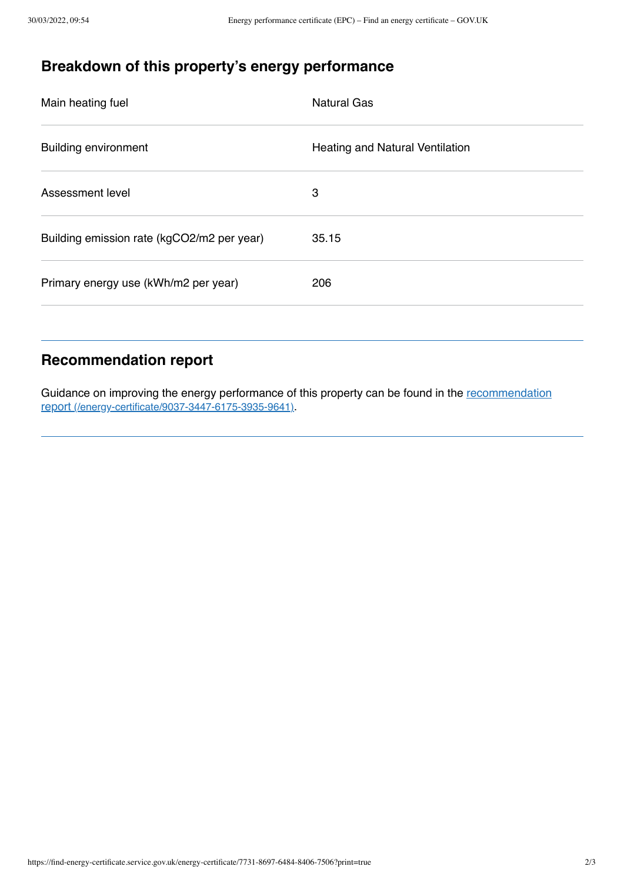# **Breakdown of this property's energy performance**

| Heating and Natural Ventilation |
|---------------------------------|
|                                 |
|                                 |
|                                 |
| 35.15                           |

### **Recommendation report**

Guidance on improving the energy performance of this property can be found in the recommendation report [\(/energy-certificate/9037-3447-6175-3935-9641\)](https://find-energy-certificate.service.gov.uk/energy-certificate/9037-3447-6175-3935-9641).